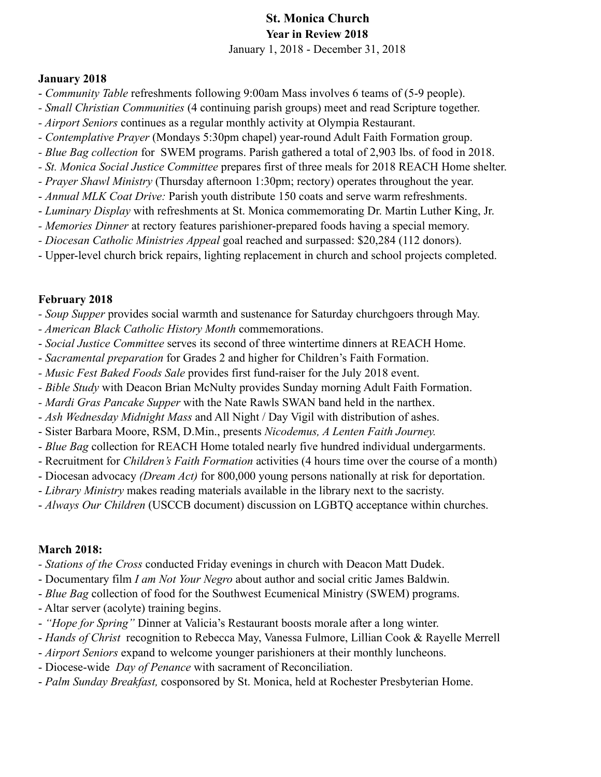# St. Monica Church Year in Review 2018

January 1, 2018 - December 31, 2018

#### January 2018

- *Community Table* refreshments following 9:00am Mass involves 6 teams of (5-9 people).
- *Small Christian Communities* (4 continuing parish groups) meet and read Scripture together.
- *Airport Seniors* continues as a regular monthly activity at Olympia Restaurant.
- *Contemplative Prayer* (Mondays 5:30pm chapel) year-round Adult Faith Formation group.
- *Blue Bag collection* for SWEM programs. Parish gathered a total of 2,903 lbs. of food in 2018.
- *St. Monica Social Justice Committee* prepares first of three meals for 2018 REACH Home shelter.
- *Prayer Shawl Ministry* (Thursday afternoon 1:30pm; rectory) operates throughout the year.
- *Annual MLK Coat Drive:* Parish youth distribute 150 coats and serve warm refreshments.
- *Luminary Display* with refreshments at St. Monica commemorating Dr. Martin Luther King, Jr.
- *Memories Dinner* at rectory features parishioner-prepared foods having a special memory.
- *Diocesan Catholic Ministries Appeal* goal reached and surpassed: \$20,284 (112 donors).
- Upper-level church brick repairs, lighting replacement in church and school projects completed.

# February 2018

- *Soup Supper* provides social warmth and sustenance for Saturday churchgoers through May.
- *American Black Catholic History Month* commemorations.
- *Social Justice Committee* serves its second of three wintertime dinners at REACH Home.
- *Sacramental preparation* for Grades 2 and higher for Children's Faith Formation.
- *Music Fest Baked Foods Sale* provides first fund-raiser for the July 2018 event.
- *Bible Study* with Deacon Brian McNulty provides Sunday morning Adult Faith Formation.
- *Mardi Gras Pancake Supper* with the Nate Rawls SWAN band held in the narthex.
- *Ash Wednesday Midnight Mass* and All Night / Day Vigil with distribution of ashes.
- Sister Barbara Moore, RSM, D.Min., presents *Nicodemus, A Lenten Faith Journey.*
- *Blue Bag* collection for REACH Home totaled nearly five hundred individual undergarments.
- Recruitment for *Children's Faith Formation* activities (4 hours time over the course of a month)
- Diocesan advocacy *(Dream Act)* for 800,000 young persons nationally at risk for deportation.
- *Library Ministry* makes reading materials available in the library next to the sacristy.
- *Always Our Children* (USCCB document) discussion on LGBTQ acceptance within churches.

## March 2018:

- *Stations of the Cross* conducted Friday evenings in church with Deacon Matt Dudek.
- Documentary film *I am Not Your Negro* about author and social critic James Baldwin.
- *Blue Bag* collection of food for the Southwest Ecumenical Ministry (SWEM) programs.
- Altar server (acolyte) training begins.
- *"Hope for Spring"* Dinner at Valicia's Restaurant boosts morale after a long winter.
- *Hands of Christ* recognition to Rebecca May, Vanessa Fulmore, Lillian Cook & Rayelle Merrell
- *Airport Seniors* expand to welcome younger parishioners at their monthly luncheons.
- Diocese-wide *Day of Penance* with sacrament of Reconciliation.
- *Palm Sunday Breakfast,* cosponsored by St. Monica, held at Rochester Presbyterian Home.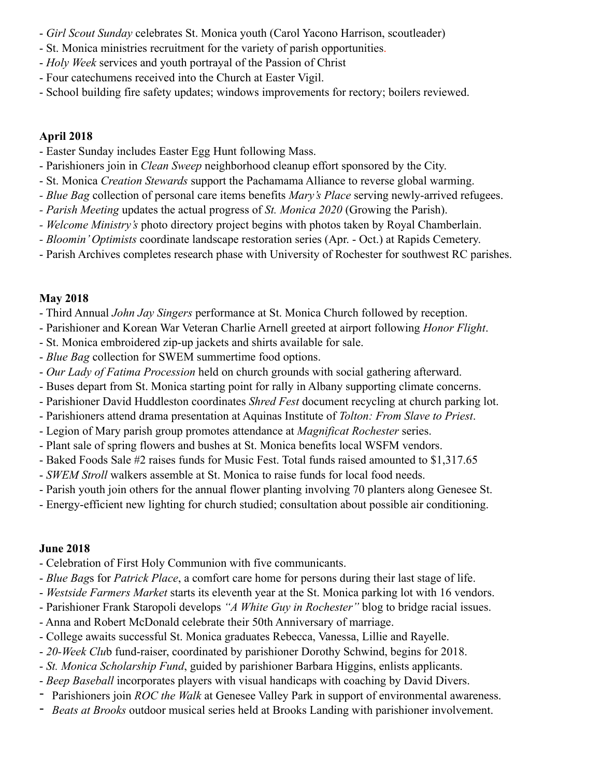- *Girl Scout Sunday* celebrates St. Monica youth (Carol Yacono Harrison, scoutleader)
- St. Monica ministries recruitment for the variety of parish opportunities.
- *Holy Week* services and youth portrayal of the Passion of Christ
- Four catechumens received into the Church at Easter Vigil.
- School building fire safety updates; windows improvements for rectory; boilers reviewed.

# April 2018

- Easter Sunday includes Easter Egg Hunt following Mass.
- Parishioners join in *Clean Sweep* neighborhood cleanup effort sponsored by the City.
- St. Monica *Creation Stewards* support the Pachamama Alliance to reverse global warming.
- *Blue Bag* collection of personal care items benefits *Mary's Place* serving newly-arrived refugees.
- *Parish Meeting* updates the actual progress of *St. Monica 2020* (Growing the Parish).
- *Welcome Ministry's* photo directory project begins with photos taken by Royal Chamberlain.
- *Bloomin' Optimists* coordinate landscape restoration series (Apr. Oct.) at Rapids Cemetery.
- Parish Archives completes research phase with University of Rochester for southwest RC parishes.

# May 2018

- Third Annual *John Jay Singers* performance at St. Monica Church followed by reception.
- Parishioner and Korean War Veteran Charlie Arnell greeted at airport following *Honor Flight*.
- St. Monica embroidered zip-up jackets and shirts available for sale.
- *Blue Bag* collection for SWEM summertime food options.
- *Our Lady of Fatima Procession* held on church grounds with social gathering afterward.
- Buses depart from St. Monica starting point for rally in Albany supporting climate concerns.
- Parishioner David Huddleston coordinates *Shred Fest* document recycling at church parking lot.
- Parishioners attend drama presentation at Aquinas Institute of *Tolton: From Slave to Priest*.
- Legion of Mary parish group promotes attendance at *Magnificat Rochester* series.
- Plant sale of spring flowers and bushes at St. Monica benefits local WSFM vendors.
- Baked Foods Sale #2 raises funds for Music Fest. Total funds raised amounted to \$1,317.65
- *SWEM Stroll* walkers assemble at St. Monica to raise funds for local food needs.
- Parish youth join others for the annual flower planting involving 70 planters along Genesee St.
- Energy-efficient new lighting for church studied; consultation about possible air conditioning.

# June 2018

- Celebration of First Holy Communion with five communicants.
- *Blue Bag*s for *Patrick Place*, a comfort care home for persons during their last stage of life.
- *Westside Farmers Market* starts its eleventh year at the St. Monica parking lot with 16 vendors.
- Parishioner Frank Staropoli develops *"A White Guy in Rochester"* blog to bridge racial issues.
- Anna and Robert McDonald celebrate their 50th Anniversary of marriage.
- College awaits successful St. Monica graduates Rebecca, Vanessa, Lillie and Rayelle.
- *20-Week Clu*b fund-raiser, coordinated by parishioner Dorothy Schwind, begins for 2018.
- *St. Monica Scholarship Fund*, guided by parishioner Barbara Higgins, enlists applicants.
- *Beep Baseball* incorporates players with visual handicaps with coaching by David Divers.
- Parishioners join *ROC the Walk* at Genesee Valley Park in support of environmental awareness.
- *Beats at Brooks* outdoor musical series held at Brooks Landing with parishioner involvement.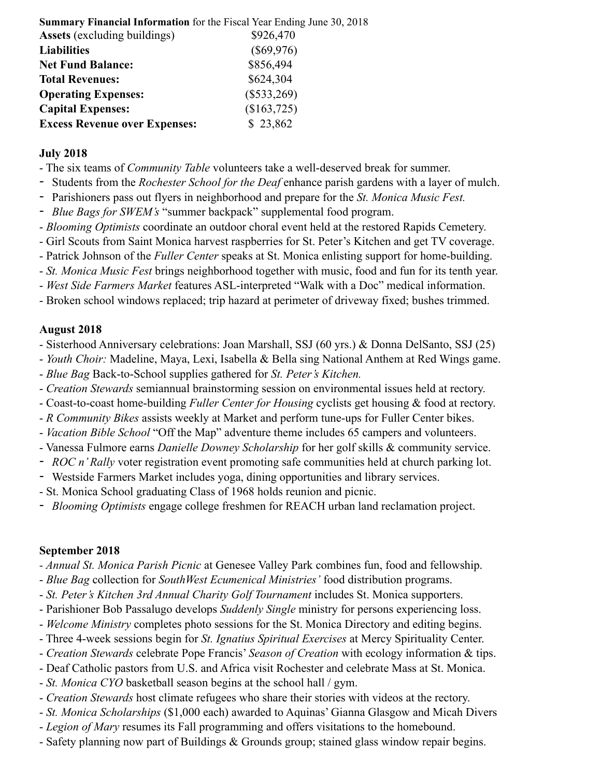| <b>Summary Financial Information</b> for the Fiscal Year Ending June 30, 2018 |               |
|-------------------------------------------------------------------------------|---------------|
| <b>Assets</b> (excluding buildings)                                           | \$926,470     |
| <b>Liabilities</b>                                                            | $(\$69,976)$  |
| <b>Net Fund Balance:</b>                                                      | \$856,494     |
| <b>Total Revenues:</b>                                                        | \$624,304     |
| <b>Operating Expenses:</b>                                                    | $(\$533,269)$ |
| <b>Capital Expenses:</b>                                                      | (\$163,725)   |
| <b>Excess Revenue over Expenses:</b>                                          | \$23,862      |

#### July 2018

- The six teams of *Community Table* volunteers take a well-deserved break for summer.
- Students from the *Rochester School for the Deaf* enhance parish gardens with a layer of mulch.
- Parishioners pass out flyers in neighborhood and prepare for the *St. Monica Music Fest.*
- *Blue Bags for SWEM's* "summer backpack" supplemental food program.
- *Blooming Optimists* coordinate an outdoor choral event held at the restored Rapids Cemetery.
- Girl Scouts from Saint Monica harvest raspberries for St. Peter's Kitchen and get TV coverage.
- Patrick Johnson of the *Fuller Center* speaks at St. Monica enlisting support for home-building.
- *St. Monica Music Fest* brings neighborhood together with music, food and fun for its tenth year.
- *West Side Farmers Market* features ASL-interpreted "Walk with a Doc" medical information.
- Broken school windows replaced; trip hazard at perimeter of driveway fixed; bushes trimmed.

## August 2018

- Sisterhood Anniversary celebrations: Joan Marshall, SSJ (60 yrs.) & Donna DelSanto, SSJ (25)
- *Youth Choir:* Madeline, Maya, Lexi, Isabella & Bella sing National Anthem at Red Wings game.
- *Blue Bag* Back-to-School supplies gathered for *St. Peter's Kitchen.*
- *Creation Stewards* semiannual brainstorming session on environmental issues held at rectory.
- Coast-to-coast home-building *Fuller Center for Housing* cyclists get housing & food at rectory.
- *R Community Bikes* assists weekly at Market and perform tune-ups for Fuller Center bikes.
- *Vacation Bible School* "Off the Map" adventure theme includes 65 campers and volunteers.
- Vanessa Fulmore earns *Danielle Downey Scholarship* for her golf skills & community service.
- *ROC n' Rally* voter registration event promoting safe communities held at church parking lot.
- Westside Farmers Market includes yoga, dining opportunities and library services.
- St. Monica School graduating Class of 1968 holds reunion and picnic.
- *Blooming Optimists* engage college freshmen for REACH urban land reclamation project.

## September 2018

- *Annual St. Monica Parish Picnic* at Genesee Valley Park combines fun, food and fellowship.
- *Blue Bag* collection for *SouthWest Ecumenical Ministries'* food distribution programs.
- *St. Peter's Kitchen 3rd Annual Charity Golf Tournament* includes St. Monica supporters.
- Parishioner Bob Passalugo develops *Suddenly Single* ministry for persons experiencing loss.
- *Welcome Ministry* completes photo sessions for the St. Monica Directory and editing begins.
- Three 4-week sessions begin for *St. Ignatius Spiritual Exercises* at Mercy Spirituality Center.
- *Creation Stewards* celebrate Pope Francis' *Season of Creation* with ecology information & tips.
- Deaf Catholic pastors from U.S. and Africa visit Rochester and celebrate Mass at St. Monica.
- *St. Monica CYO* basketball season begins at the school hall / gym.
- *Creation Stewards* host climate refugees who share their stories with videos at the rectory.
- *St. Monica Scholarships* (\$1,000 each) awarded to Aquinas' Gianna Glasgow and Micah Divers
- *Legion of Mary* resumes its Fall programming and offers visitations to the homebound.
- Safety planning now part of Buildings & Grounds group; stained glass window repair begins.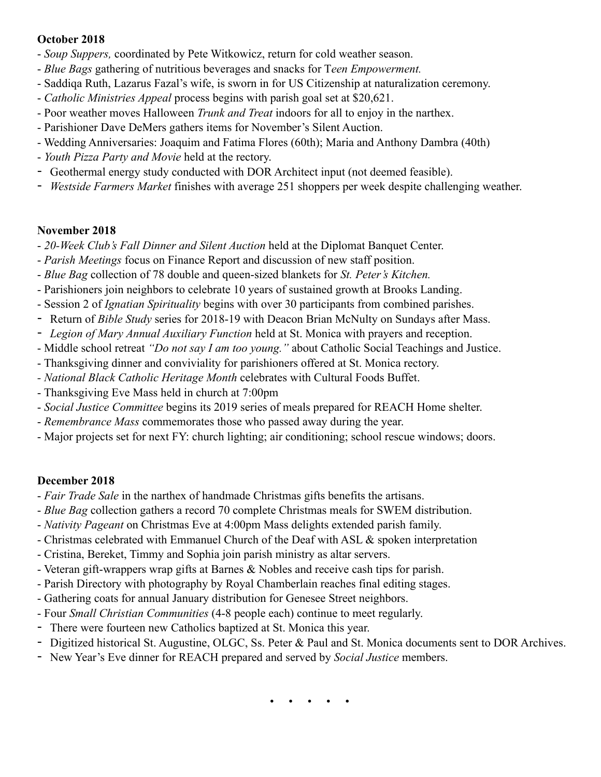#### October 2018

- *Soup Suppers,* coordinated by Pete Witkowicz, return for cold weather season.
- *Blue Bags* gathering of nutritious beverages and snacks for T*een Empowerment.*
- Saddiqa Ruth, Lazarus Fazal's wife, is sworn in for US Citizenship at naturalization ceremony.
- *Catholic Ministries Appeal* process begins with parish goal set at \$20,621.
- Poor weather moves Halloween *Trunk and Treat* indoors for all to enjoy in the narthex.
- Parishioner Dave DeMers gathers items for November's Silent Auction.
- Wedding Anniversaries: Joaquim and Fatima Flores (60th); Maria and Anthony Dambra (40th)
- *Youth Pizza Party and Movie* held at the rectory.
- Geothermal energy study conducted with DOR Architect input (not deemed feasible).
- *Westside Farmers Market* finishes with average 251 shoppers per week despite challenging weather.

## November 2018

- *20-Week Club's Fall Dinner and Silent Auction* held at the Diplomat Banquet Center.
- *Parish Meetings* focus on Finance Report and discussion of new staff position.
- *Blue Bag* collection of 78 double and queen-sized blankets for *St. Peter's Kitchen.*
- Parishioners join neighbors to celebrate 10 years of sustained growth at Brooks Landing.
- Session 2 of *Ignatian Spirituality* begins with over 30 participants from combined parishes.
- Return of *Bible Study* series for 2018-19 with Deacon Brian McNulty on Sundays after Mass.
- *Legion of Mary Annual Auxiliary Function* held at St. Monica with prayers and reception.
- Middle school retreat *"Do not say I am too young."* about Catholic Social Teachings and Justice.
- Thanksgiving dinner and conviviality for parishioners offered at St. Monica rectory.
- *National Black Catholic Heritage Month* celebrates with Cultural Foods Buffet.
- Thanksgiving Eve Mass held in church at 7:00pm
- - *Social Justice Committee* begins its 2019 series of meals prepared for REACH Home shelter.
- *Remembrance Mass* commemorates those who passed away during the year.
- Major projects set for next FY: church lighting; air conditioning; school rescue windows; doors.

# December 2018

- - *Fair Trade Sale* in the narthex of handmade Christmas gifts benefits the artisans.
- *Blue Bag* collection gathers a record 70 complete Christmas meals for SWEM distribution.
- *Nativity Pageant* on Christmas Eve at 4:00pm Mass delights extended parish family.
- Christmas celebrated with Emmanuel Church of the Deaf with ASL & spoken interpretation
- Cristina, Bereket, Timmy and Sophia join parish ministry as altar servers.
- Veteran gift-wrappers wrap gifts at Barnes & Nobles and receive cash tips for parish.
- Parish Directory with photography by Royal Chamberlain reaches final editing stages.
- Gathering coats for annual January distribution for Genesee Street neighbors.
- Four *Small Christian Communities* (4-8 people each) continue to meet regularly.
- There were fourteen new Catholics baptized at St. Monica this year.
- Digitized historical St. Augustine, OLGC, Ss. Peter & Paul and St. Monica documents sent to DOR Archives.
- New Year's Eve dinner for REACH prepared and served by *Social Justice* members.

• • • • •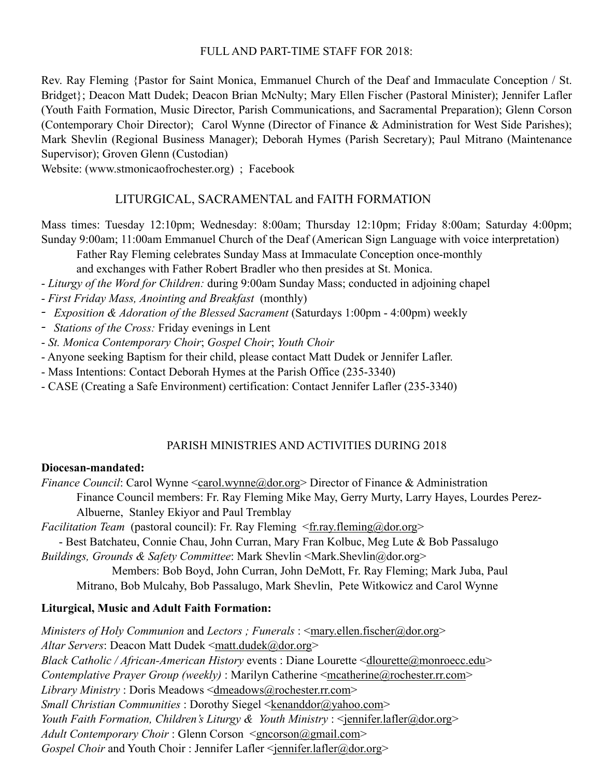#### FULL AND PART-TIME STAFF FOR 2018:

Rev. Ray Fleming {Pastor for Saint Monica, Emmanuel Church of the Deaf and Immaculate Conception / St. Bridget}; Deacon Matt Dudek; Deacon Brian McNulty; Mary Ellen Fischer (Pastoral Minister); Jennifer Lafler (Youth Faith Formation, Music Director, Parish Communications, and Sacramental Preparation); Glenn Corson (Contemporary Choir Director); Carol Wynne (Director of Finance & Administration for West Side Parishes); Mark Shevlin (Regional Business Manager); Deborah Hymes (Parish Secretary); Paul Mitrano (Maintenance Supervisor); Groven Glenn (Custodian)

Website: (www.stmonicaofrochester.org) ; Facebook

## LITURGICAL, SACRAMENTAL and FAITH FORMATION

Mass times: Tuesday 12:10pm; Wednesday: 8:00am; Thursday 12:10pm; Friday 8:00am; Saturday 4:00pm; Sunday 9:00am; 11:00am Emmanuel Church of the Deaf (American Sign Language with voice interpretation)

Father Ray Fleming celebrates Sunday Mass at Immaculate Conception once-monthly

and exchanges with Father Robert Bradler who then presides at St. Monica.

- *Liturgy of the Word for Children:* during 9:00am Sunday Mass; conducted in adjoining chapel
- *First Friday Mass, Anointing and Breakfast* (monthly)
- *- Exposition & Adoration of the Blessed Sacrament* (Saturdays 1:00pm 4:00pm) weekly
- *- Stations of the Cross:* Friday evenings in Lent
- *St. Monica Contemporary Choir*; *Gospel Choir*; *Youth Choir*
- Anyone seeking Baptism for their child, please contact Matt Dudek or Jennifer Lafler.
- Mass Intentions: Contact Deborah Hymes at the Parish Office (235-3340)
- CASE (Creating a Safe Environment) certification: Contact Jennifer Lafler (235-3340)

#### PARISH MINISTRIES AND ACTIVITIES DURING 2018

#### Diocesan-mandated:

*Finance Council:* Carol Wynne <[carol.wynne@dor.org>](mailto:carol.wynne@dor.org) Director of Finance & Administration Finance Council members: Fr. Ray Fleming Mike May, Gerry Murty, Larry Hayes, Lourdes Perez- Albuerne, Stanley Ekiyor and Paul Tremblay

*Facilitation Team* (pastoral council): Fr. Ray Fleming <[fr.ray.fleming@dor.org](mailto:fr.ray.fleming@dor.org)>

 - Best Batchateu, Connie Chau, John Curran, Mary Fran Kolbuc, Meg Lute & Bob Passalugo *Buildings, Grounds & Safety Committee*: Mark Shevlin <Mark.Shevlin@dor.org>

 Members: Bob Boyd, John Curran, John DeMott, Fr. Ray Fleming; Mark Juba, Paul Mitrano, Bob Mulcahy, Bob Passalugo, Mark Shevlin, Pete Witkowicz and Carol Wynne

#### Liturgical, Music and Adult Faith Formation:

*Ministers of Holy Communion and Lectors ; Funerals : [<mary.ellen.fischer@dor.org](mailto:mary.ellen.fischer@dor.org)>* Altar Servers: Deacon Matt Dudek [<matt.dudek@dor.org>](mailto:matt.dudek@dor.org) *Black Catholic / African-American History events : Diane Lourette [<dlourette@monroecc.edu>](mailto:dlourette@monroecc.edu) Contemplative Prayer Group (weekly)* : Marilyn Catherine [<mcatherine@rochester.rr.com>](mailto:mcatherine@rochester.rr.com) *Library Ministry* : Doris Meadows <[dmeadows@rochester.rr.com](mailto:dmeadows@rochester.rr.com)> *Small Christian Communities* : Dorothy Siegel [<kenanddor@yahoo.com>](mailto:kenanddor@yahoo.com) *Youth Faith Formation, Children's Liturgy & Youth Ministry* : [<jennifer.lafler@dor.org>](mailto:jennifer.lafler@dor.org) *Adult Contemporary Choir* : Glenn Corson [<gncorson@gmail.com](mailto:gncorson@gmail.com)> *Gospel Choir* and Youth Choir : Jennifer Lafler [<jennifer.lafler@dor.org](mailto:Jennifer.lafler@dor.org)>